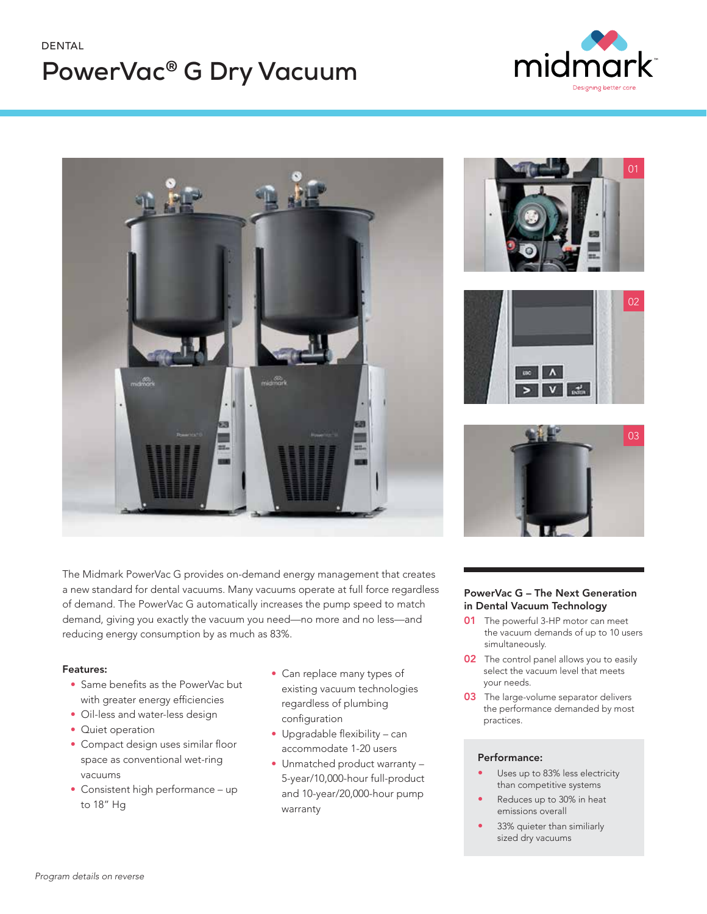### DENTAL

# **PowerVac® G Dry Vacuum**





The Midmark PowerVac G provides on-demand energy management that creates a new standard for dental vacuums. Many vacuums operate at full force regardless of demand. The PowerVac G automatically increases the pump speed to match demand, giving you exactly the vacuum you need—no more and no less—and reducing energy consumption by as much as 83%.

#### Features:

- Same benefits as the PowerVac but with greater energy efficiencies
- Oil-less and water-less design
- Quiet operation
- Compact design uses similar floor space as conventional wet-ring vacuums
- Consistent high performance up to 18" Hg
- Can replace many types of existing vacuum technologies regardless of plumbing configuration
- Upgradable flexibility can accommodate 1-20 users
- Unmatched product warranty 5-year/10,000-hour full-product and 10-year/20,000-hour pump warranty







#### PowerVac G – The Next Generation in Dental Vacuum Technology

- **01** The powerful 3-HP motor can meet the vacuum demands of up to 10 users simultaneously.
- **02** The control panel allows you to easily select the vacuum level that meets your needs.
- **03** The large-volume separator delivers the performance demanded by most practices.

#### Performance:

- Uses up to 83% less electricity than competitive systems
- Reduces up to 30% in heat emissions overall
- 33% quieter than similiarly sized dry vacuums